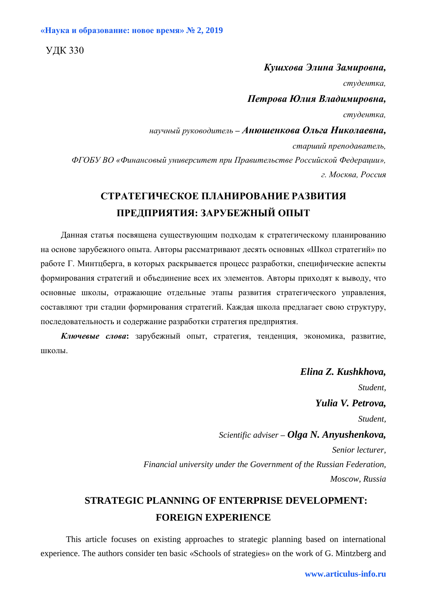УДК 330

## *Кушхова Элина Замировна,*

*студентка,*

*Петрова Юлия Владимировна,*

*студентка,*

*научный руководитель – Анюшенкова Ольга Николаевна,*

*старший преподаватель,*

*ФГОБУ ВО «Финансовый университет при Правительстве Российской Федерации», г. Москва, Россия*

# **СТРАТЕГИЧЕСКОЕ ПЛАНИРОВАНИЕ РАЗВИТИЯ ПРЕДПРИЯТИЯ: ЗАРУБЕЖНЫЙ ОПЫТ**

Данная статья посвящена существующим подходам к стратегическому планированию на основе зарубежного опыта. Авторы рассматривают десять основных «Школ стратегий» по работе Г. Минтцберга, в которых раскрывается процесс разработки, специфические аспекты формирования стратегий и объединение всех их элементов. Авторы приходят к выводу, что основные школы, отражающие отдельные этапы развития стратегического управления, составляют три стадии формирования стратегий. Каждая школа предлагает свою структуру, последовательность и содержание разработки стратегия предприятия.

*Ключевые слова***:** зарубежный опыт, стратегия, тенденция, экономика, развитие, школы.

> *Elina Z. Kushkhova, Student, Yulia V. Petrova, Student, Scientific adviser – Olga N. Anyushenkova, Senior lecturer, Financial university under the Government of the Russian Federation, Moscow, Russia*

# **STRATEGIC PLANNING OF ENTERPRISE DEVELOPMENT: FOREIGN EXPERIENCE**

This article focuses on existing approaches to strategic planning based on international experience. The authors consider ten basic «Schools of strategies» on the work of G. Mintzberg and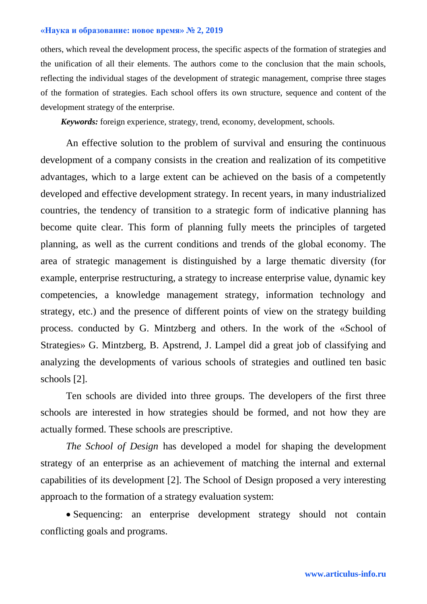others, which reveal the development process, the specific aspects of the formation of strategies and the unification of all their elements. The authors come to the conclusion that the main schools, reflecting the individual stages of the development of strategic management, comprise three stages of the formation of strategies. Each school offers its own structure, sequence and content of the development strategy of the enterprise.

*Keywords:* foreign experience, strategy, trend, economy, development, schools.

An effective solution to the problem of survival and ensuring the continuous development of a company consists in the creation and realization of its competitive advantages, which to a large extent can be achieved on the basis of a competently developed and effective development strategy. In recent years, in many industrialized countries, the tendency of transition to a strategic form of indicative planning has become quite clear. This form of planning fully meets the principles of targeted planning, as well as the current conditions and trends of the global economy. The area of strategic management is distinguished by a large thematic diversity (for example, enterprise restructuring, a strategy to increase enterprise value, dynamic key competencies, a knowledge management strategy, information technology and strategy, etc.) and the presence of different points of view on the strategy building process. conducted by G. Mintzberg and others. In the work of the «School of Strategies» G. Mintzberg, B. Apstrend, J. Lampel did a great job of classifying and analyzing the developments of various schools of strategies and outlined ten basic schools [2].

Ten schools are divided into three groups. The developers of the first three schools are interested in how strategies should be formed, and not how they are actually formed. These schools are prescriptive.

*The School of Design* has developed a model for shaping the development strategy of an enterprise as an achievement of matching the internal and external capabilities of its development [2]. The School of Design proposed a very interesting approach to the formation of a strategy evaluation system:

 Sequencing: an enterprise development strategy should not contain conflicting goals and programs.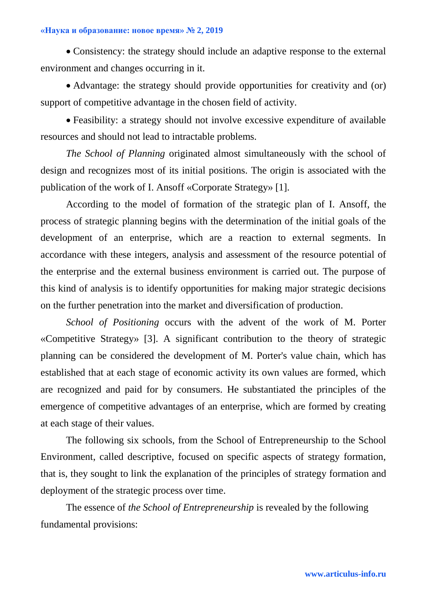Consistency: the strategy should include an adaptive response to the external environment and changes occurring in it.

• Advantage: the strategy should provide opportunities for creativity and (or) support of competitive advantage in the chosen field of activity.

 Feasibility: a strategy should not involve excessive expenditure of available resources and should not lead to intractable problems.

*The School of Planning* originated almost simultaneously with the school of design and recognizes most of its initial positions. The origin is associated with the publication of the work of I. Ansoff «Corporate Strategy» [1].

According to the model of formation of the strategic plan of I. Ansoff, the process of strategic planning begins with the determination of the initial goals of the development of an enterprise, which are a reaction to external segments. In accordance with these integers, analysis and assessment of the resource potential of the enterprise and the external business environment is carried out. The purpose of this kind of analysis is to identify opportunities for making major strategic decisions on the further penetration into the market and diversification of production.

*School of Positioning* occurs with the advent of the work of M. Porter «Competitive Strategy» [3]. A significant contribution to the theory of strategic planning can be considered the development of M. Porter's value chain, which has established that at each stage of economic activity its own values are formed, which are recognized and paid for by consumers. He substantiated the principles of the emergence of competitive advantages of an enterprise, which are formed by creating at each stage of their values.

The following six schools, from the School of Entrepreneurship to the School Environment, called descriptive, focused on specific aspects of strategy formation, that is, they sought to link the explanation of the principles of strategy formation and deployment of the strategic process over time.

The essence of *the School of Entrepreneurship* is revealed by the following fundamental provisions: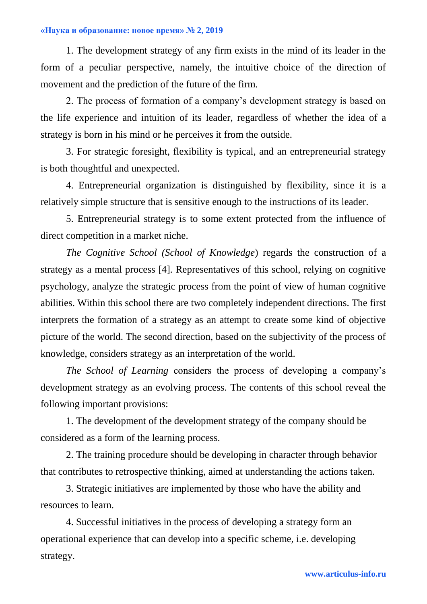1. The development strategy of any firm exists in the mind of its leader in the form of a peculiar perspective, namely, the intuitive choice of the direction of movement and the prediction of the future of the firm.

2. The process of formation of a company's development strategy is based on the life experience and intuition of its leader, regardless of whether the idea of a strategy is born in his mind or he perceives it from the outside.

3. For strategic foresight, flexibility is typical, and an entrepreneurial strategy is both thoughtful and unexpected.

4. Entrepreneurial organization is distinguished by flexibility, since it is a relatively simple structure that is sensitive enough to the instructions of its leader.

5. Entrepreneurial strategy is to some extent protected from the influence of direct competition in a market niche.

*The Cognitive School (School of Knowledge*) regards the construction of a strategy as a mental process [4]. Representatives of this school, relying on cognitive psychology, analyze the strategic process from the point of view of human cognitive abilities. Within this school there are two completely independent directions. The first interprets the formation of a strategy as an attempt to create some kind of objective picture of the world. The second direction, based on the subjectivity of the process of knowledge, considers strategy as an interpretation of the world.

*The School of Learning* considers the process of developing a company's development strategy as an evolving process. The contents of this school reveal the following important provisions:

1. The development of the development strategy of the company should be considered as a form of the learning process.

2. The training procedure should be developing in character through behavior that contributes to retrospective thinking, aimed at understanding the actions taken.

3. Strategic initiatives are implemented by those who have the ability and resources to learn.

4. Successful initiatives in the process of developing a strategy form an operational experience that can develop into a specific scheme, i.e. developing strategy.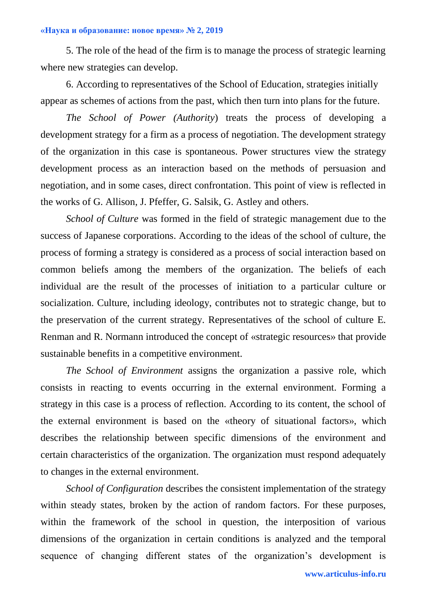5. The role of the head of the firm is to manage the process of strategic learning where new strategies can develop.

6. According to representatives of the School of Education, strategies initially appear as schemes of actions from the past, which then turn into plans for the future.

*The School of Power (Authority*) treats the process of developing a development strategy for a firm as a process of negotiation. The development strategy of the organization in this case is spontaneous. Power structures view the strategy development process as an interaction based on the methods of persuasion and negotiation, and in some cases, direct confrontation. This point of view is reflected in the works of G. Allison, J. Pfeffer, G. Salsik, G. Astley and others.

*School of Culture* was formed in the field of strategic management due to the success of Japanese corporations. According to the ideas of the school of culture, the process of forming a strategy is considered as a process of social interaction based on common beliefs among the members of the organization. The beliefs of each individual are the result of the processes of initiation to a particular culture or socialization. Culture, including ideology, contributes not to strategic change, but to the preservation of the current strategy. Representatives of the school of culture E. Renman and R. Normann introduced the concept of «strategic resources» that provide sustainable benefits in a competitive environment.

*The School of Environment* assigns the organization a passive role, which consists in reacting to events occurring in the external environment. Forming a strategy in this case is a process of reflection. According to its content, the school of the external environment is based on the «theory of situational factors», which describes the relationship between specific dimensions of the environment and certain characteristics of the organization. The organization must respond adequately to changes in the external environment.

*School of Configuration* describes the consistent implementation of the strategy within steady states, broken by the action of random factors. For these purposes, within the framework of the school in question, the interposition of various dimensions of the organization in certain conditions is analyzed and the temporal sequence of changing different states of the organization's development is